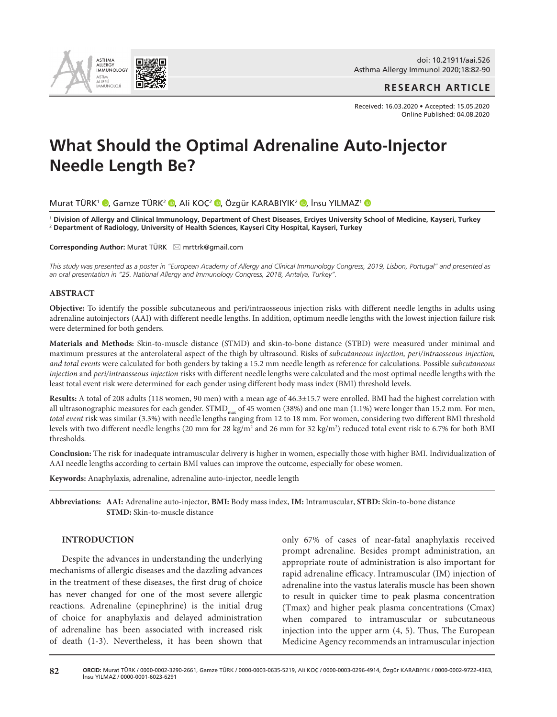

**RESEARCH ARTICLE**

Received: 16.03.2020 • Accepted: 15.05.2020 Online Published: 04.08.2020

# **What Should the Optimal Adrenaline Auto-Injector Needle Length Be?**

Murat TÜRK<sup>1</sup> <sup>®</sup>[,](http://orcid.org/0000-0002-9722-4363) Gamze TÜRK<sup>2</sup> ®, Ali KOÇ<sup>2</sup> ®, Özgür KARABIYIK<sup>2</sup> ®, İnsu YILMAZ<sup>1</sup> ®

<sup>1</sup> **Division of Allergy and Clinical Immunology, Department of Chest Diseases, Erciyes University School of Medicine, Kayseri, Turkey**  <sup>2</sup> **Department of Radiology, University of Health Sciences, Kayseri City Hospital, Kayseri, Turkey**

**Corresponding Author: Murat TÜRK** ⊠ mrttrk@gmail.com

*This study was presented as a poster in "European Academy of Allergy and Clinical Immunology Congress, 2019, Lisbon, Portugal" and presented as an oral presentation in "25. National Allergy and Immunology Congress, 2018, Antalya, Turkey".*

# **ABSTRACT**

**Objective:** To identify the possible subcutaneous and peri/intraosseous injection risks with different needle lengths in adults using adrenaline autoinjectors (AAI) with different needle lengths. In addition, optimum needle lengths with the lowest injection failure risk were determined for both genders.

**Materials and Methods:** Skin-to-muscle distance (STMD) and skin-to-bone distance (STBD) were measured under minimal and maximum pressures at the anterolateral aspect of the thigh by ultrasound. Risks of *subcutaneous injection, peri/intraosseous injection, and total events* were calculated for both genders by taking a 15.2 mm needle length as reference for calculations. Possible *subcutaneous injection* and *peri/intraosseous injection* risks with different needle lengths were calculated and the most optimal needle lengths with the least total event risk were determined for each gender using different body mass index (BMI) threshold levels.

**Results:** A total of 208 adults (118 women, 90 men) with a mean age of 46.3±15.7 were enrolled. BMI had the highest correlation with all ultrasonographic measures for each gender.  $STMD_{\text{max}}$  of 45 women (38%) and one man (1.1%) were longer than 15.2 mm. For men, *total event* risk was similar (3.3%) with needle lengths ranging from 12 to 18 mm. For women, considering two different BMI threshold levels with two different needle lengths (20 mm for 28 kg/m<sup>2</sup> and 26 mm for 32 kg/m<sup>2</sup>) reduced total event risk to 6.7% for both BMI thresholds.

**Conclusion:** The risk for inadequate intramuscular delivery is higher in women, especially those with higher BMI. Individualization of AAI needle lengths according to certain BMI values can improve the outcome, especially for obese women.

**Keywords:** Anaphylaxis, adrenaline, adrenaline auto-injector, needle length

**Abbreviations: AAI:** Adrenaline auto-injector, **BMI:** Body mass index, **IM:** Intramuscular, **STBD:** Skin-to-bone distance **STMD:** Skin-to-muscle distance

# **INTRODUCTION**

Despite the advances in understanding the underlying mechanisms of allergic diseases and the dazzling advances in the treatment of these diseases, the first drug of choice has never changed for one of the most severe allergic reactions. Adrenaline (epinephrine) is the initial drug of choice for anaphylaxis and delayed administration of adrenaline has been associated with increased risk of death (1-3). Nevertheless, it has been shown that

only 67% of cases of near-fatal anaphylaxis received prompt adrenaline. Besides prompt administration, an appropriate route of administration is also important for rapid adrenaline efficacy. Intramuscular (IM) injection of adrenaline into the vastus lateralis muscle has been shown to result in quicker time to peak plasma concentration (Tmax) and higher peak plasma concentrations (Cmax) when compared to intramuscular or subcutaneous injection into the upper arm (4, 5). Thus, The European Medicine Agency recommends an intramuscular injection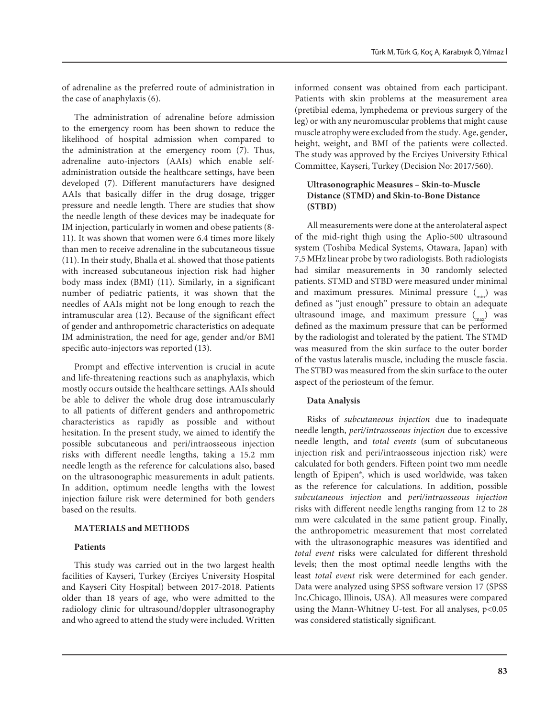of adrenaline as the preferred route of administration in the case of anaphylaxis (6).

The administration of adrenaline before admission to the emergency room has been shown to reduce the likelihood of hospital admission when compared to the administration at the emergency room (7). Thus, adrenaline auto-injectors (AAIs) which enable selfadministration outside the healthcare settings, have been developed (7). Different manufacturers have designed AAIs that basically differ in the drug dosage, trigger pressure and needle length. There are studies that show the needle length of these devices may be inadequate for IM injection, particularly in women and obese patients (8- 11). It was shown that women were 6.4 times more likely than men to receive adrenaline in the subcutaneous tissue (11). In their study, Bhalla et al. showed that those patients with increased subcutaneous injection risk had higher body mass index (BMI) (11). Similarly, in a significant number of pediatric patients, it was shown that the needles of AAIs might not be long enough to reach the intramuscular area (12). Because of the significant effect of gender and anthropometric characteristics on adequate IM administration, the need for age, gender and/or BMI specific auto-injectors was reported (13).

Prompt and effective intervention is crucial in acute and life-threatening reactions such as anaphylaxis, which mostly occurs outside the healthcare settings. AAIs should be able to deliver the whole drug dose intramuscularly to all patients of different genders and anthropometric characteristics as rapidly as possible and without hesitation. In the present study, we aimed to identify the possible subcutaneous and peri/intraosseous injection risks with different needle lengths, taking a 15.2 mm needle length as the reference for calculations also, based on the ultrasonographic measurements in adult patients. In addition, optimum needle lengths with the lowest injection failure risk were determined for both genders based on the results.

# **MATERIALS and METHODS**

# **Patients**

This study was carried out in the two largest health facilities of Kayseri, Turkey (Erciyes University Hospital and Kayseri City Hospital) between 2017-2018. Patients older than 18 years of age, who were admitted to the radiology clinic for ultrasound/doppler ultrasonography and who agreed to attend the study were included. Written

informed consent was obtained from each participant. Patients with skin problems at the measurement area (pretibial edema, lymphedema or previous surgery of the leg) or with any neuromuscular problems that might cause muscle atrophy were excluded from the study. Age, gender, height, weight, and BMI of the patients were collected. The study was approved by the Erciyes University Ethical Committee, Kayseri, Turkey (Decision No: 2017/560).

# **Ultrasonographic Measures – Skin-to-Muscle Distance (STMD) and Skin-to-Bone Distance (STBD)**

All measurements were done at the anterolateral aspect of the mid-right thigh using the Aplio-500 ultrasound system (Toshiba Medical Systems, Otawara, Japan) with 7,5 MHz linear probe by two radiologists. Both radiologists had similar measurements in 30 randomly selected patients. STMD and STBD were measured under minimal and maximum pressures. Minimal pressure  $\binom{m}{\text{min}}$  was defined as "just enough" pressure to obtain an adequate ultrasound image, and maximum pressure  $\binom{m}{m}$  was defined as the maximum pressure that can be performed by the radiologist and tolerated by the patient. The STMD was measured from the skin surface to the outer border of the vastus lateralis muscle, including the muscle fascia. The STBD was measured from the skin surface to the outer aspect of the periosteum of the femur.

# **Data Analysis**

Risks of *subcutaneous injection* due to inadequate needle length, *peri/intraosseous injection* due to excessive needle length, and *total events* (sum of subcutaneous injection risk and peri/intraosseous injection risk) were calculated for both genders. Fifteen point two mm needle length of Epipen®, which is used worldwide, was taken as the reference for calculations. In addition, possible *subcutaneous injection* and *peri/intraosseous injection*  risks with different needle lengths ranging from 12 to 28 mm were calculated in the same patient group. Finally, the anthropometric measurement that most correlated with the ultrasonographic measures was identified and *total event* risks were calculated for different threshold levels; then the most optimal needle lengths with the least *total event* risk were determined for each gender. Data were analyzed using SPSS software version 17 (SPSS Inc,Chicago, Illinois, USA). All measures were compared using the Mann-Whitney U-test. For all analyses, p<0.05 was considered statistically significant.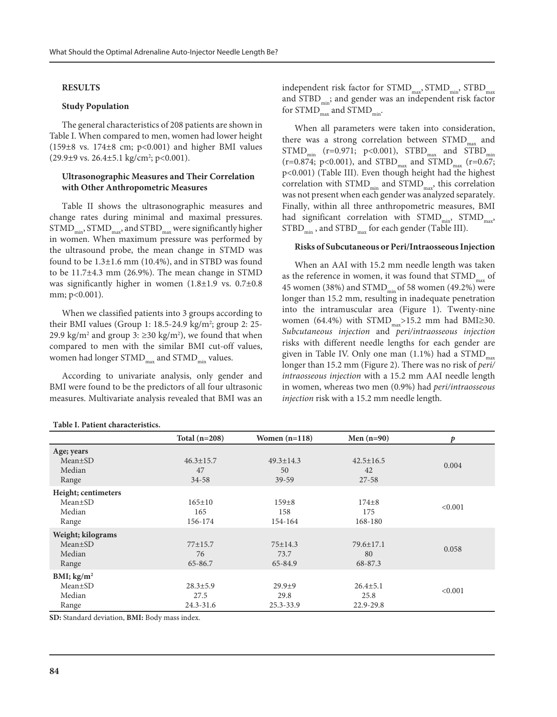#### **RESULTS**

#### **Study Population**

The general characteristics of 208 patients are shown in Table I. When compared to men, women had lower height  $(159±8 \text{ vs. } 174±8 \text{ cm}; \text{ p} < 0.001)$  and higher BMI values  $(29.9\pm 9 \text{ vs. } 26.4\pm 5.1 \text{ kg/cm}^2; \text{ p} < 0.001).$ 

# **Ultrasonographic Measures and Their Correlation with Other Anthropometric Measures**

Table II shows the ultrasonographic measures and change rates during minimal and maximal pressures.  $STMD<sub>min</sub>$ ,  $STMD<sub>max</sub>$ , and  $STBD<sub>max</sub>$  were significantly higher in women. When maximum pressure was performed by the ultrasound probe, the mean change in STMD was found to be 1.3±1.6 mm (10.4%), and in STBD was found to be 11.7±4.3 mm (26.9%). The mean change in STMD was significantly higher in women (1.8±1.9 vs. 0.7±0.8 mm; p<0.001).

When we classified patients into 3 groups according to their BMI values (Group 1: 18.5-24.9 kg/m<sup>2</sup>; group 2: 25-29.9 kg/m<sup>2</sup> and group 3:  $\geq$ 30 kg/m<sup>2</sup>), we found that when compared to men with the similar BMI cut-off values, women had longer  $STMD<sub>max</sub>$  and  $STMD<sub>min</sub>$  values.

According to univariate analysis, only gender and BMI were found to be the predictors of all four ultrasonic measures. Multivariate analysis revealed that BMI was an

| independent risk factor for STMD <sub>max</sub> , STMD <sub>min</sub> , STBD <sub>max</sub> |
|---------------------------------------------------------------------------------------------|
| and STBD <sub>min</sub> ; and gender was an independent risk factor                         |
| for $STMD_{max}$ and $STMD_{min}$ .                                                         |

When all parameters were taken into consideration, there was a strong correlation between  $STMD_{\text{max}}$  and  $STMD_{min}$  (r=0.971; p<0.001),  $STBD_{max}$  and  $STBD_{min}$  $(r=0.874; p<0.001)$ , and STBD<sub>max</sub> and STMD<sub>max</sub>  $(r=0.67;$ p<0.001) (Table III). Even though height had the highest correlation with  $STMD_{min}$  and  $STMD_{max}$ , this correlation was not present when each gender was analyzed separately. Finally, within all three anthropometric measures, BMI had significant correlation with  $STMD_{min}$ ,  $STMD_{max}$ ,  $STBD_{min}$ , and  $STBD_{max}$  for each gender (Table III).

#### **Risks of Subcutaneous or Peri/Intraosseous Injection**

When an AAI with 15.2 mm needle length was taken as the reference in women, it was found that  $STMD_{max}$  of 45 women (38%) and  $STMD<sub>min</sub>$  of 58 women (49.2%) were longer than 15.2 mm, resulting in inadequate penetration into the intramuscular area (Figure 1). Twenty-nine women (64.4%) with  $STMD_{max} > 15.2$  mm had BMI≥30. *Subcutaneous injection* and *peri/intraosseous injection* risks with different needle lengths for each gender are given in Table IV. Only one man  $(1.1\%)$  had a STMD<sub>max</sub> longer than 15.2 mm (Figure 2). There was no risk of *peri/ intraosseous injection* with a 15.2 mm AAI needle length in women, whereas two men (0.9%) had *peri/intraosseous injection* risk with a 15.2 mm needle length.

|                                                          | Total $(n=208)$                         | Women $(n=118)$                    | Men $(n=90)$                        | $\boldsymbol{p}$ |
|----------------------------------------------------------|-----------------------------------------|------------------------------------|-------------------------------------|------------------|
| Age; years<br>$Mean \pm SD$<br>Median<br>Range           | $46.3 \pm 15.7$<br>47<br>34-58          | $49.3 \pm 14.3$<br>50<br>$39 - 59$ | $42.5 \pm 16.5$<br>42<br>$27 - 58$  | 0.004            |
| Height; centimeters<br>$Mean \pm SD$<br>Median<br>Range  | $165 \pm 10$<br>165<br>156-174          | $159 + 8$<br>158<br>154-164        | $174 + 8$<br>175<br>168-180         | < 0.001          |
| Weight; kilograms<br>$Mean \pm SD$<br>Median<br>Range    | $77 + 15.7$<br>76<br>65-86.7            | $75 \pm 14.3$<br>73.7<br>65-84.9   | $79.6 \pm 17.1$<br>80<br>68-87.3    | 0.058            |
| BMI; $\text{kg/m}^2$<br>$Mean \pm SD$<br>Median<br>Range | $28.3 \pm 5.9$<br>27.5<br>$24.3 - 31.6$ | $29.9+9$<br>29.8<br>$25.3 - 33.9$  | $26.4 \pm 5.1$<br>25.8<br>22.9-29.8 | < 0.001          |

**Table I. Patient characteristics.** 

**SD:** Standard deviation, **BMI:** Body mass index.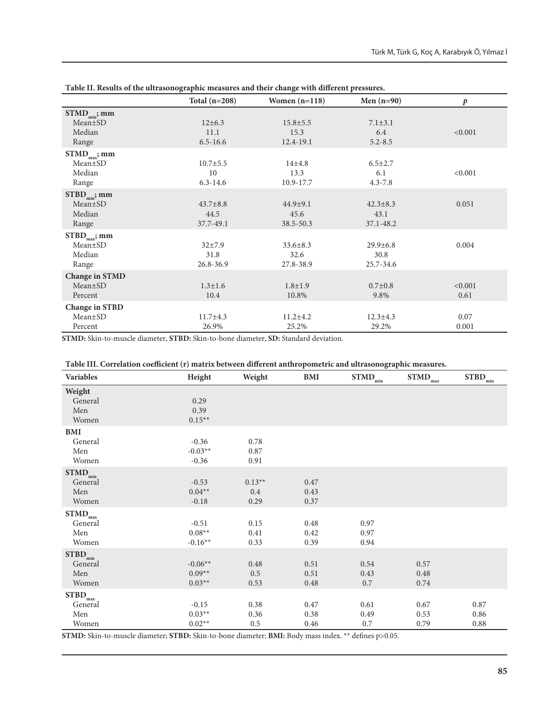|                                                       | Total $(n=208)$                      | Women $(n=118)$                     | Men $(n=90)$                        | $\boldsymbol{p}$ |
|-------------------------------------------------------|--------------------------------------|-------------------------------------|-------------------------------------|------------------|
| $STMD_{min}$ ; mm<br>$Mean \pm SD$<br>Median<br>Range | $12 \pm 6.3$<br>11.1<br>$6.5 - 16.6$ | $15.8 \pm 5.5$<br>15.3<br>12.4-19.1 | $7.1 \pm 3.1$<br>6.4<br>$5.2 - 8.5$ | < 0.001          |
| $STMD_{max}$ ; mm<br>$Mean \pm SD$<br>Median<br>Range | $10.7 \pm 5.5$<br>10<br>$6.3 - 14.6$ | $14 + 4.8$<br>13.3<br>10.9-17.7     | $6.5 \pm 2.7$<br>6.1<br>$4.3 - 7.8$ | < 0.001          |
| $STBD_{min}$ ; mm<br>$Mean \pm SD$<br>Median<br>Range | $43.7 \pm 8.8$<br>44.5<br>37.7-49.1  | $44.9 + 9.1$<br>45.6<br>38.5-50.3   | $42.3 \pm 8.3$<br>43.1<br>37.1-48.2 | 0.051            |
| $STBD_{max}$ ; mm<br>$Mean \pm SD$<br>Median<br>Range | $32+7.9$<br>31.8<br>26.8-36.9        | $33.6 \pm 8.3$<br>32.6<br>27.8-38.9 | $29.9 \pm 6.8$<br>30.8<br>25.7-34.6 | 0.004            |
| <b>Change in STMD</b><br>Mean±SD<br>Percent           | $1.3 \pm 1.6$<br>10.4                | $1.8 \pm 1.9$<br>10.8%              | $0.7 \pm 0.8$<br>9.8%               | < 0.001<br>0.61  |
| <b>Change in STBD</b><br>$Mean \pm SD$<br>Percent     | $11.7 \pm 4.3$<br>26.9%              | $11.2 \pm 4.2$<br>25.2%             | $12.3 \pm 4.3$<br>29.2%             | 0.07<br>0.001    |

**Table II. Results of the ultrasonographic measures and their change with different pressures.** 

**STMD:** Skin-to-muscle diameter, **STBD:** Skin-to-bone diameter, **SD:** Standard deviation.

| Variables            | таліс тіт. Соттеганон соспісісні (1) шанты бетімесін аннегені аннігороністтіс ана ангазоноğrарше шеазатез.<br>Height | Weight   | BMI  | $\overline{\text{STMD}}_{\text{min}}$ | $\overline{\text{STMD}}_{\text{max}}$ | $\widetilde{\mathrm{STBD}}_{\min}$ |
|----------------------|----------------------------------------------------------------------------------------------------------------------|----------|------|---------------------------------------|---------------------------------------|------------------------------------|
|                      |                                                                                                                      |          |      |                                       |                                       |                                    |
| Weight               |                                                                                                                      |          |      |                                       |                                       |                                    |
| General              | 0.29                                                                                                                 |          |      |                                       |                                       |                                    |
| Men                  | 0.39                                                                                                                 |          |      |                                       |                                       |                                    |
| Women                | $0.15**$                                                                                                             |          |      |                                       |                                       |                                    |
| <b>BMI</b>           |                                                                                                                      |          |      |                                       |                                       |                                    |
| General              | $-0.36$                                                                                                              | 0.78     |      |                                       |                                       |                                    |
| Men                  | $-0.03**$                                                                                                            | 0.87     |      |                                       |                                       |                                    |
| Women                | $-0.36$                                                                                                              | 0.91     |      |                                       |                                       |                                    |
| $STMD_{min}$         |                                                                                                                      |          |      |                                       |                                       |                                    |
| General              | $-0.53$                                                                                                              | $0.13**$ | 0.47 |                                       |                                       |                                    |
| Men                  | $0.04**$                                                                                                             | 0.4      | 0.43 |                                       |                                       |                                    |
| Women                | $-0.18$                                                                                                              | 0.29     | 0.37 |                                       |                                       |                                    |
| $STMD_{max}$         |                                                                                                                      |          |      |                                       |                                       |                                    |
| General              | $-0.51$                                                                                                              | 0.15     | 0.48 | 0.97                                  |                                       |                                    |
| Men                  | $0.08**$                                                                                                             |          | 0.42 | 0.97                                  |                                       |                                    |
| Women                | $-0.16**$                                                                                                            | 0.41     | 0.39 | 0.94                                  |                                       |                                    |
|                      |                                                                                                                      | 0.33     |      |                                       |                                       |                                    |
| $\text{STBD}_{\min}$ |                                                                                                                      |          |      |                                       |                                       |                                    |
| General              | $-0.06**$                                                                                                            | 0.48     | 0.51 | 0.54                                  | 0.57                                  |                                    |
| Men                  | $0.09**$                                                                                                             | 0.5      | 0.51 | 0.43                                  | 0.48                                  |                                    |
| Women                | $0.03**$                                                                                                             | 0.53     | 0.48 | 0.7                                   | 0.74                                  |                                    |
| $STBD_{max}$         |                                                                                                                      |          |      |                                       |                                       |                                    |
| General              | $-0.15$                                                                                                              | 0.38     | 0.47 | 0.61                                  | 0.67                                  | 0.87                               |
| Men                  | $0.03**$                                                                                                             | 0.36     | 0.38 | 0.49                                  | 0.53                                  | 0.86                               |
| Women                | $0.02**$                                                                                                             | 0.5      | 0.46 | 0.7                                   | 0.79                                  | 0.88                               |

**Table III. Correlation coefficient (r) matrix between different anthropometric and ultrasonographic measures.**

**STMD:** Skin-to-muscle diameter; **STBD:** Skin-to-bone diameter; **BMI:** Body mass index. \*\* defines p>0.05.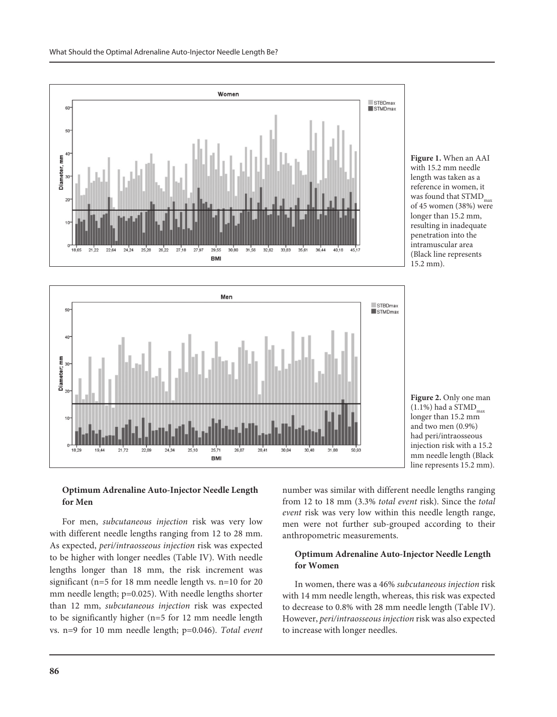







# **Optimum Adrenaline Auto-Injector Needle Length for Men**

For men, *subcutaneous injection* risk was very low with different needle lengths ranging from 12 to 28 mm. As expected, *peri/intraosseous injection* risk was expected to be higher with longer needles (Table IV). With needle lengths longer than 18 mm, the risk increment was significant (n=5 for 18 mm needle length vs. n=10 for 20 mm needle length; p=0.025). With needle lengths shorter than 12 mm, *subcutaneous injection* risk was expected to be significantly higher (n=5 for 12 mm needle length vs. n=9 for 10 mm needle length; p=0.046). *Total event* number was similar with different needle lengths ranging from 12 to 18 mm (3.3% *total event* risk). Since the *total event* risk was very low within this needle length range, men were not further sub-grouped according to their anthropometric measurements.

# **Optimum Adrenaline Auto-Injector Needle Length for Women**

In women, there was a 46% *subcutaneous injection* risk with 14 mm needle length, whereas, this risk was expected to decrease to 0.8% with 28 mm needle length (Table IV). However, *peri/intraosseous injection* risk was also expected to increase with longer needles.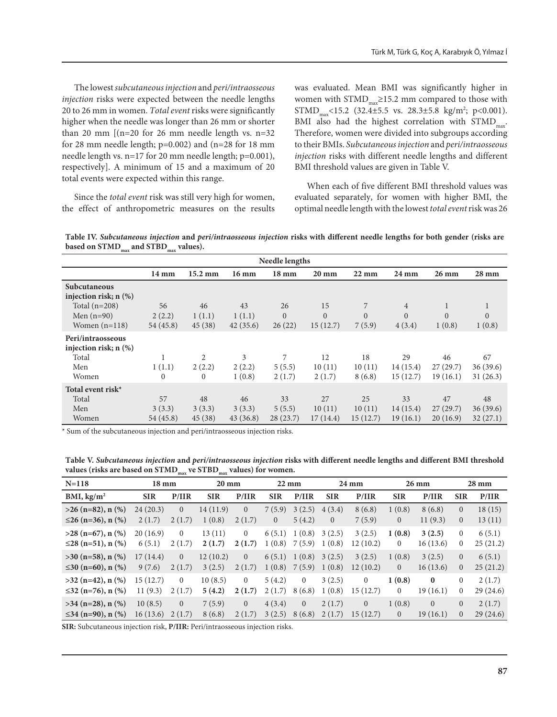The lowest *subcutaneous injection* and *peri/intraosseous injection* risks were expected between the needle lengths 20 to 26 mm in women. *Total event* risks were significantly higher when the needle was longer than 26 mm or shorter than 20 mm  $[(n=20 for 26 mm needed length vs. n=32$ for 28 mm needle length; p=0.002) and (n=28 for 18 mm needle length vs. n=17 for 20 mm needle length; p=0.001), respectively]. A minimum of 15 and a maximum of 20 total events were expected within this range.

Since the *total event* risk was still very high for women, the effect of anthropometric measures on the results

was evaluated. Mean BMI was significantly higher in women with  $STMD_{max} \ge 15.2$  mm compared to those with  $STMD_{max}$ <15.2 (32.4±5.5 vs. 28.3±5.8 kg/m<sup>2</sup>; p<0.001). BMI also had the highest correlation with  $STMD<sub>max</sub>$ . Therefore, women were divided into subgroups according to their BMIs. *Subcutaneous injection* and *peri/intraosseous injection* risks with different needle lengths and different BMI threshold values are given in Table V.

When each of five different BMI threshold values was evaluated separately, for women with higher BMI, the optimal needle length with the lowest *total event* risk was 26

**Table IV.** *Subcutaneous injection* **and** *peri/intraosseous injection* **risks with different needle lengths for both gender (risks are**  based on STMD<sub>max</sub> and STBD<sub>max</sub> values).

| Needle lengths                                                |                     |                         |                       |                       |                            |                        |                            |                            |                            |  |
|---------------------------------------------------------------|---------------------|-------------------------|-----------------------|-----------------------|----------------------------|------------------------|----------------------------|----------------------------|----------------------------|--|
|                                                               | $14 \text{ mm}$     | $15.2 \text{ mm}$       | $16 \text{ mm}$       | $18 \text{ mm}$       | $20 \text{ mm}$            | $22 \text{ mm}$        | $24 \text{ mm}$            | $26 \text{ mm}$            | $28 \text{ mm}$            |  |
| Subcutaneous<br>injection risk; $n$ $(\%)$<br>Total $(n=208)$ | 56                  | 46                      | 43                    | 26                    | 15                         | 7                      | $\overline{4}$             | 1                          |                            |  |
| Men $(n=90)$<br>Women $(n=118)$                               | 2(2.2)<br>54 (45.8) | 1(1.1)<br>45(38)        | 1(1.1)<br>42(35.6)    | $\Omega$<br>26(22)    | $\overline{0}$<br>15(12.7) | $\Omega$<br>7(5.9)     | $\Omega$<br>4(3.4)         | $\Omega$<br>1(0.8)         | $\Omega$<br>1(0.8)         |  |
| Peri/intraosseous<br>injection risk; $n$ $(\%)$               |                     |                         |                       |                       |                            |                        |                            |                            |                            |  |
| Total<br>Men<br>Women                                         | 1(1.1)<br>$\theta$  | 2<br>2(2.2)<br>$\Omega$ | 3<br>2(2.2)<br>1(0.8) | 7<br>5(5.5)<br>2(1.7) | 12<br>10(11)<br>2(1.7)     | 18<br>10(11)<br>8(6.8) | 29<br>14(15.4)<br>15(12.7) | 46<br>27(29.7)<br>19(16.1) | 67<br>36(39.6)<br>31(26.3) |  |
| Total event risk $*$<br>Total                                 | 57                  | 48                      | 46                    | 33                    | 27                         | 25                     | 33                         | 47                         | 48                         |  |
| Men<br>Women                                                  | 3(3.3)<br>54 (45.8) | 3(3.3)<br>45(38)        | 3(3.3)<br>43(36.8)    | 5(5.5)<br>28(23.7)    | 10(11)<br>17(14.4)         | 10(11)<br>15(12.7)     | 14(15.4)<br>19(16.1)       | 27(29.7)<br>20(16.9)       | 36(39.6)<br>32(27.1)       |  |

\* Sum of the subcutaneous injection and peri/intraosseous injection risks.

**Table V.** *Subcutaneous injection* **and** *peri/intraosseous injection* **risks with different needle lengths and different BMI threshold**  values (risks are based on STMD<sub>max</sub> ve STBD<sub>max</sub> values) for women.

| $N = 118$                        | $18 \text{ mm}$ |                | $20 \text{ mm}$ |                | $22 \text{ mm}$ |                |                | $24 \text{ mm}$ |                | $26 \text{ mm}$ |                | $28 \text{ mm}$ |
|----------------------------------|-----------------|----------------|-----------------|----------------|-----------------|----------------|----------------|-----------------|----------------|-----------------|----------------|-----------------|
| BMI, $\text{kg/m}^2$             | <b>SIR</b>      | P/IIR          | <b>SIR</b>      | P/IIR          | <b>SIR</b>      | P/IIR          | <b>SIR</b>     | P/IIR           | <b>SIR</b>     | P/IIR           | <b>SIR</b>     | P/IIR           |
| $>26$ (n=82), n $(\%)$           | 24(20.3)        | $\Omega$       | 14(11.9)        | $\overline{0}$ | 7(5.9)          | 3(2.5)         | 4(3.4)         | 8(6.8)          | 1(0.8)         | 8(6.8)          | $\overline{0}$ | 18(15)          |
| $\leq$ 26 (n=36), n (%)          | 2(1.7)          | 2(1.7)         | 1(0.8)          | 2(1.7)         | $\overline{0}$  | 5(4.2)         | $\overline{0}$ | 7(5.9)          | $\overline{0}$ | 11(9.3)         | $\overline{0}$ | 13(11)          |
| $>28$ (n=67), n $(\%)$           | 20(16.9)        | $\Omega$       | 13(11)          | $\overline{0}$ | 6(5.1)          | 1(0.8)         | 3(2.5)         | 3(2.5)          | 1(0.8)         | 3(2.5)          | $\overline{0}$ | 6(5.1)          |
| ≤28 (n=51), n $\frac{1}{2}$      | 6(5.1)          | 2(1.7)         | 2(1.7)          | 2(1.7)         | 1(0.8)          | 7(5.9)         | 1(0.8)         | 12(10.2)        | $\overline{0}$ | 16(13.6)        | $\mathbf{0}$   | 25(21.2)        |
| $>30$ (n=58), n $(\%)$           | 17(14.4)        | $\overline{0}$ | 12(10.2)        | $\overline{0}$ | 6(5.1)          | 1(0.8)         | 3(2.5)         | 3(2.5)          | 1(0.8)         | 3(2.5)          | $\overline{0}$ | 6(5.1)          |
| ≤30 (n=60), n $\left(\% \right)$ | 9(7.6)          | 2(1.7)         | 3(2.5)          | 2(1.7)         | 1(0.8)          | 7(5.9)         | 1(0.8)         | 12(10.2)        | $\overline{0}$ | 16(13.6)        | $\overline{0}$ | 25(21.2)        |
| $>32$ (n=42), n $(\%)$           | 15(12.7)        | $\Omega$       | 10(8.5)         | $\overline{0}$ | 5(4.2)          | $\overline{0}$ | 3(2.5)         | $\Omega$        | 1(0.8)         | $\bf{0}$        | $\Omega$       | 2(1.7)          |
| $\leq$ 32 (n=76), n (%)          | 11(9.3)         | 2(1.7)         | 5(4.2)          | 2(1.7)         | 2(1.7)          | 8(6.8)         | 1(0.8)         | 15(12.7)        | $\overline{0}$ | 19(16.1)        | $\mathbf{0}$   | 29(24.6)        |
| $>34$ (n=28), n $(\% )$          | 10(8.5)         | $\Omega$       | 7(5.9)          | $\mathbf{0}$   | 4(3.4)          | $\overline{0}$ | 2(1.7)         | $\Omega$        | 1(0.8)         | $\mathbf{0}$    | $\overline{0}$ | 2(1.7)          |
| ≤34 (n=90), n $(\%)$             | 16(13.6)        | 2(1.7)         | 8(6.8)          | 2(1.7)         | 3(2.5)          | 8(6.8)         | 2(1.7)         | 15(12.7)        | $\overline{0}$ | 19(16.1)        | $\Omega$       | 29(24.6)        |

**SIR:** Subcutaneous injection risk, **P/IIR:** Peri/intraosseous injection risks.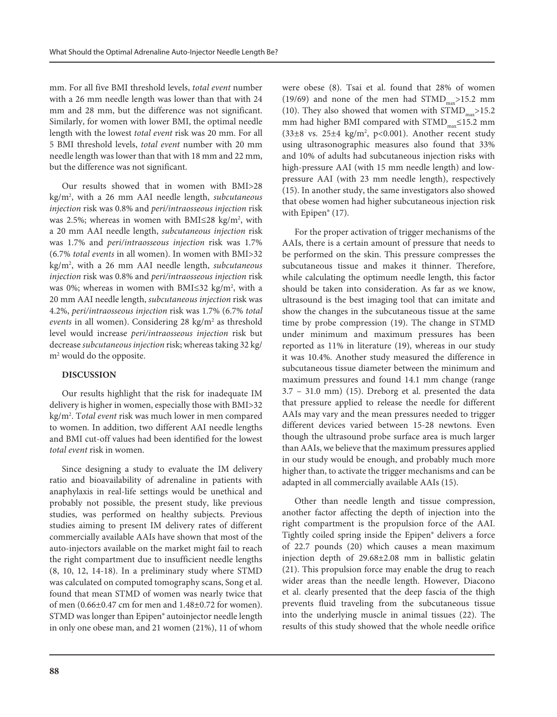mm. For all five BMI threshold levels, *total event* number with a 26 mm needle length was lower than that with 24 mm and 28 mm, but the difference was not significant. Similarly, for women with lower BMI, the optimal needle length with the lowest *total event* risk was 20 mm. For all 5 BMI threshold levels, *total event* number with 20 mm needle length was lower than that with 18 mm and 22 mm, but the difference was not significant.

Our results showed that in women with BMI>28 kg/m2 , with a 26 mm AAI needle length, *subcutaneous injection* risk was 0.8% and *peri/intraosseous injection* risk was 2.5%; whereas in women with BMI $\leq$ 28 kg/m<sup>2</sup>, with a 20 mm AAI needle length, *subcutaneous injection* risk was 1.7% and *peri/intraosseous injection* risk was 1.7% (6.7% *total events* in all women). In women with BMI>32 kg/m2 , with a 26 mm AAI needle length, *subcutaneous injection* risk was 0.8% and *peri/intraosseous injection* risk was 0%; whereas in women with BMI≤32 kg/m<sup>2</sup>, with a 20 mm AAI needle length, *subcutaneous injection* risk was 4.2%, *peri/intraosseous injection* risk was 1.7% (6.7% *total*  events in all women). Considering 28 kg/m<sup>2</sup> as threshold level would increase *peri/intraosseous injection* risk but decrease *subcutaneous injection* risk; whereas taking 32 kg/ m2 would do the opposite.

# **DISCUSSION**

Our results highlight that the risk for inadequate IM delivery is higher in women, especially those with BMI>32 kg/m2 . T*otal event* risk was much lower in men compared to women. In addition, two different AAI needle lengths and BMI cut-off values had been identified for the lowest *total event* risk in women.

Since designing a study to evaluate the IM delivery ratio and bioavailability of adrenaline in patients with anaphylaxis in real-life settings would be unethical and probably not possible, the present study, like previous studies, was performed on healthy subjects. Previous studies aiming to present IM delivery rates of different commercially available AAIs have shown that most of the auto-injectors available on the market might fail to reach the right compartment due to insufficient needle lengths (8, 10, 12, 14-18). In a preliminary study where STMD was calculated on computed tomography scans, Song et al. found that mean STMD of women was nearly twice that of men (0.66±0.47 cm for men and 1.48±0.72 for women). STMD was longer than Epipen® autoinjector needle length in only one obese man, and 21 women (21%), 11 of whom

were obese (8). Tsai et al. found that 28% of women (19/69) and none of the men had  $STMD_{max}$ >15.2 mm (10). They also showed that women with  $STMD$ <sub>2</sub>>15.2 mm had higher BMI compared with  $STMD<sub>mv</sub>≤15.2 mm$  $(33\pm8$  vs.  $25\pm4$  kg/m<sup>2</sup>, p<0.001). Another recent study using ultrasonographic measures also found that 33% and 10% of adults had subcutaneous injection risks with high-pressure AAI (with 15 mm needle length) and lowpressure AAI (with 23 mm needle length), respectively (15). In another study, the same investigators also showed that obese women had higher subcutaneous injection risk with Epipen<sup>®</sup> (17).

For the proper activation of trigger mechanisms of the AAIs, there is a certain amount of pressure that needs to be performed on the skin. This pressure compresses the subcutaneous tissue and makes it thinner. Therefore, while calculating the optimum needle length, this factor should be taken into consideration. As far as we know, ultrasound is the best imaging tool that can imitate and show the changes in the subcutaneous tissue at the same time by probe compression (19). The change in STMD under minimum and maximum pressures has been reported as 11% in literature (19), whereas in our study it was 10.4%. Another study measured the difference in subcutaneous tissue diameter between the minimum and maximum pressures and found 14.1 mm change (range 3.7 – 31.0 mm) (15). Dreborg et al. presented the data that pressure applied to release the needle for different AAIs may vary and the mean pressures needed to trigger different devices varied between 15-28 newtons. Even though the ultrasound probe surface area is much larger than AAIs, we believe that the maximum pressures applied in our study would be enough, and probably much more higher than, to activate the trigger mechanisms and can be adapted in all commercially available AAIs (15).

Other than needle length and tissue compression, another factor affecting the depth of injection into the right compartment is the propulsion force of the AAI. Tightly coiled spring inside the Epipen® delivers a force of 22.7 pounds (20) which causes a mean maximum injection depth of 29.68±2.08 mm in ballistic gelatin (21). This propulsion force may enable the drug to reach wider areas than the needle length. However, Diacono et al. clearly presented that the deep fascia of the thigh prevents fluid traveling from the subcutaneous tissue into the underlying muscle in animal tissues (22). The results of this study showed that the whole needle orifice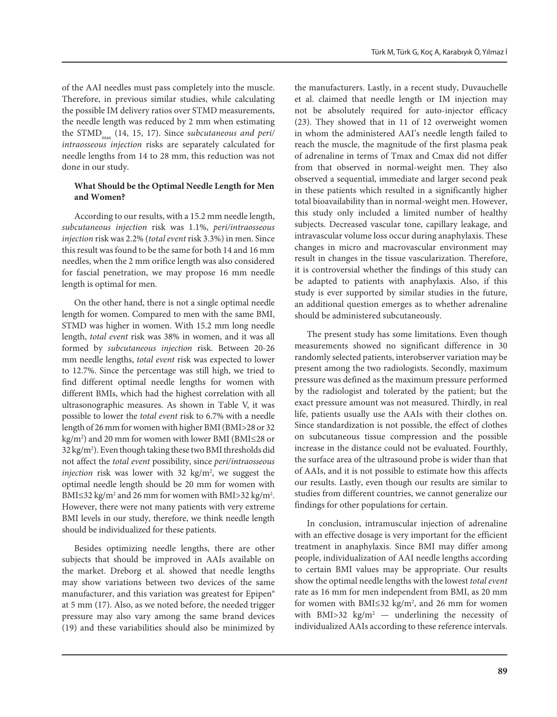of the AAI needles must pass completely into the muscle. Therefore, in previous similar studies, while calculating the possible IM delivery ratios over STMD measurements, the needle length was reduced by 2 mm when estimating the STMD<sub>max</sub> (14, 15, 17). Since subcutaneous and peri/ *intraosseous injection* risks are separately calculated for needle lengths from 14 to 28 mm, this reduction was not done in our study.

# **What Should be the Optimal Needle Length for Men and Women?**

According to our results, with a 15.2 mm needle length, *subcutaneous injection* risk was 1.1%, *peri/intraosseous injection* risk was 2.2% (*total event* risk 3.3%) in men. Since this result was found to be the same for both 14 and 16 mm needles, when the 2 mm orifice length was also considered for fascial penetration, we may propose 16 mm needle length is optimal for men.

On the other hand, there is not a single optimal needle length for women. Compared to men with the same BMI, STMD was higher in women. With 15.2 mm long needle length, *total event* risk was 38% in women, and it was all formed by *subcutaneous injection* risk. Between 20-26 mm needle lengths, *total event* risk was expected to lower to 12.7%. Since the percentage was still high, we tried to find different optimal needle lengths for women with different BMIs, which had the highest correlation with all ultrasonographic measures. As shown in Table V, it was possible to lower the *total event* risk to 6.7% with a needle length of 26 mm for women with higher BMI (BMI>28 or 32 kg/m2 ) and 20 mm for women with lower BMI (BMI≤28 or 32 kg/m2 ). Even though taking these two BMI thresholds did not affect the *total event* possibility, since *peri/intraosseous injection* risk was lower with 32 kg/m<sup>2</sup>, we suggest the optimal needle length should be 20 mm for women with BMI≤32 kg/m<sup>2</sup> and 26 mm for women with BMI>32 kg/m<sup>2</sup>. However, there were not many patients with very extreme BMI levels in our study, therefore, we think needle length should be individualized for these patients.

Besides optimizing needle lengths, there are other subjects that should be improved in AAIs available on the market. Dreborg et al. showed that needle lengths may show variations between two devices of the same manufacturer, and this variation was greatest for Epipen® at 5 mm (17). Also, as we noted before, the needed trigger pressure may also vary among the same brand devices (19) and these variabilities should also be minimized by the manufacturers. Lastly, in a recent study, Duvauchelle et al. claimed that needle length or IM injection may not be absolutely required for auto-injector efficacy (23). They showed that in 11 of 12 overweight women in whom the administered AAI's needle length failed to reach the muscle, the magnitude of the first plasma peak of adrenaline in terms of Tmax and Cmax did not differ from that observed in normal-weight men. They also observed a sequential, immediate and larger second peak in these patients which resulted in a significantly higher total bioavailability than in normal-weight men. However, this study only included a limited number of healthy subjects. Decreased vascular tone, capillary leakage, and intravascular volume loss occur during anaphylaxis. These changes in micro and macrovascular environment may result in changes in the tissue vascularization. Therefore, it is controversial whether the findings of this study can be adapted to patients with anaphylaxis. Also, if this study is ever supported by similar studies in the future, an additional question emerges as to whether adrenaline should be administered subcutaneously.

The present study has some limitations. Even though measurements showed no significant difference in 30 randomly selected patients, interobserver variation may be present among the two radiologists. Secondly, maximum pressure was defined as the maximum pressure performed by the radiologist and tolerated by the patient; but the exact pressure amount was not measured. Thirdly, in real life, patients usually use the AAIs with their clothes on. Since standardization is not possible, the effect of clothes on subcutaneous tissue compression and the possible increase in the distance could not be evaluated. Fourthly, the surface area of the ultrasound probe is wider than that of AAIs, and it is not possible to estimate how this affects our results. Lastly, even though our results are similar to studies from different countries, we cannot generalize our findings for other populations for certain.

In conclusion, intramuscular injection of adrenaline with an effective dosage is very important for the efficient treatment in anaphylaxis. Since BMI may differ among people, individualization of AAI needle lengths according to certain BMI values may be appropriate. Our results show the optimal needle lengths with the lowest *total event* rate as 16 mm for men independent from BMI, as 20 mm for women with BMI $\leq$ 32 kg/m<sup>2</sup>, and 26 mm for women with BMI>32  $\text{kg/m}^2$  — underlining the necessity of individualized AAIs according to these reference intervals.